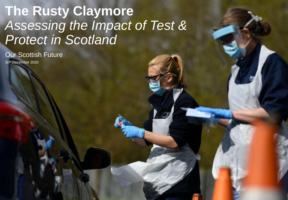# **The Rusty Claymore** *Assessing the Impact of Test & Protect in Scotland*

Our Scottish Future

30th December 2020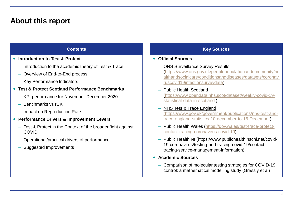### **About this report**

- **Introduction to Test & Protect**
	- Introduction to the academic theory of Test & Trace
	- Overview of End-to-End process
	- Key Performance Indicators
- **Test & Protect Scotland Performance Benchmarks**
	- KPI performance for November-December 2020
	- Benchmarks vs rUK
	- Impact on Reproduction Rate
- **Performance Drivers & Improvement Levers**
	- Test & Protect in the Context of the broader fight against COVID
	- Operational/practical drivers of performance
	- Suggested Improvements

### **Contents Key Sources**

#### **Official Sources**

- ONS Surveillance Survey Results (https://www.ons.gov.uk/peoplepopulationandcommunity/he [althandsocialcare/conditionsanddiseases/datasets/coronavi](https://www.ons.gov.uk/peoplepopulationandcommunity/healthandsocialcare/conditionsanddiseases/datasets/coronaviruscovid19infectionsurveydata) ruscovid19infectionsurveydata)
- Public Health Scotland [\(https://www.opendata.nhs.scot/dataset/weekly-covid-19](https://www.opendata.nhs.scot/dataset/weekly-covid-19-statistical-data-in-scotland) statistical-data-in-scotland )

#### – [NHS Test & Trace England](https://www.gov.uk/government/publications/nhs-test-and-trace-england-statistics-10-december-to-16-december) (https://www.gov.uk/government/publications/nhs-test-and[trace-england-statistics-10-december-to-16-December\)](https://www.gov.uk/government/publications/nhs-test-and-trace-england-statistics-10-december-to-16-december)

- [Public Health Wales \(https://gov.wales/test-trace-protect](https://gov.wales/test-trace-protect-contact-tracing-coronavirus-covid-19)contact-tracing-coronavirus-covid-19)
- Public Health NI (https://www.publichealth.hscni.net/covid-19-coronavirus/testing-and-tracing-covid-19/contacttracing-service-management-information)
- **Academic Sources**
	- Comparison of molecular testing strategies for COVID-19 control: a mathematical modelling study (Grassly et al)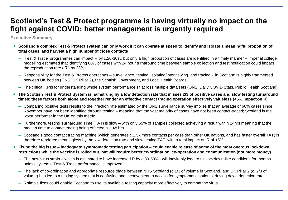### **Scotland's Test & Protect programme is having virtually no impact on the fight against COVID: better management is urgently required**

**Executive Summary**

- **Scotland's complex Test & Protect system can only work if it can operate at speed to identify and isolate a meaningful proportion of total cases, and harvest a high number of close contacts**
	- 'Test & Trace' programmes can impact R by c.20-30%, but only a high proportion of cases are identified in a timely manner Imperial college modelling estimated that identifying 80% of cases with 24 hour turnaround time between sample collection and test notification could impact the reproduction rate ('R') by 23%
	- Responsibility for the Test & Protect operations surveillance, testing, isolating/interviewing, and tracing in Scotland is highly fragmented between UK bodies (ONS, UK Pillar 2), the Scottish Government, and Local Health Boards
	- The critical KPIs for understanding whole system performance sit across multiple data sets (ONS, Daily COVID Stats, Public Health Scotland)
- **The Scottish Test & Protect System is hamstrung by a low detection rate that misses 2/3 of positive cases and slow testing turnaround times; these factors both alone and together render an effective contact tracing operation effectively valueless (<5% impact on R)**
	- Comparing positive tests results to the infection rate estimated by the ONS surveillance survey implies that an average of 66% cases since November have not been identified through testing – meaning that the vast majority of cases have not been contact-traced; Scotland is the worst performer in the UK on this metric
	- Furthermore, testing Turnaround Time (TAT) is slow with only 55% of samples collected achieving a result within 24hrs meaning that the median time to contact tracing being effected is c.48 hrs
	- Scotland's good contact tracing machine (which generates c.1.5x more contacts per case than other UK nations, and has faster overall TAT) is therefore rendered meaningless by the low detection rate and slow testing TAT, with a total impact on R of <5%
- **Fixing the big issue – inadequate symptomatic testing participation – could enable release of some of the most onerous lockdown restrictions while the vaccine is rolled out, but will require better co-ordination, co-operation and communication (not more money)**
	- The new virus strain which is estimated to have increased R by c.30-50% will inevitably lead to full lockdown-like conditions for months unless systemic Test & Trace performance is improved
	- The lack of co-ordination and appropriate resource triage between NHS Scotland (c.1/3 of volume in Scotland) and UK Pillar 2 (c. 2/3 of volume) has led to a testing system that is confusing and inconvenient to access for symptomatic patients, driving down detection rate
	- 5 simple fixes could enable Scotland to use its available testing capacity more effectively to combat the virus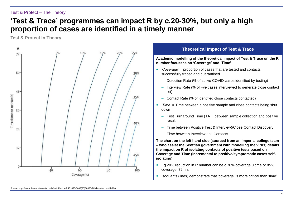#### Test & Protect – The Theory

### **'Test & Trace' programmes can impact R by c.20-30%, but only a high proportion of cases are identified in a timely manner**

**Test & Protect In Theory**



#### **Theoretical Impact of Test & Trace**

**Academic modelling of the theoretical impact of Test & Trace on the R number focusses on 'Coverage' and 'Time'**

- *'Coverage'* = proportion of cases that are tested and contacts successfully traced and quarantined
	- Detection Rate (% of active COVID cases identified by testing)
	- Interview Rate (% of +ve cases interviewed to generate close contact list)
	- Contact Rate (% of identified close contacts contacted)
- *'Time'* = Time between a positive sample and close contacts being shut down
	- Test Turnaround Time (TAT) between sample collection and positive result
	- Time between Positive Test & Interview(/Close Contact Discovery)
	- Time between Interview and Contacts

**The chart on the left hand side (sourced from an Imperial college team – who assist the Scottish government with modelling the virus) details the impact on R of isolating contacts of positive tests based on Coverage and Time (incremental to positive/symptomatic cases selfisolating)**

- Eg 20% reduction in R number can be c.70% coverage 0 time or 85% coverage, 72 hrs
- Isoquants (lines) demonstrate that 'coverage' is more critical than 'time'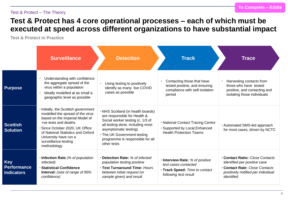#### Test & Protect – The Theory

### **Test & Protect has 4 core operational processes – each of which must be executed at speed across different organizations to have substantial impact**

**Test & Protect in Practice**

|                                                       | <b>Surveillance</b>                                                                                                                                                                                                                                                        | <b>Detection</b>                                                                                                                                                                                                                                     | <b>Track</b>                                                                                                       | <b>Trace</b>                                                                                                                                               |
|-------------------------------------------------------|----------------------------------------------------------------------------------------------------------------------------------------------------------------------------------------------------------------------------------------------------------------------------|------------------------------------------------------------------------------------------------------------------------------------------------------------------------------------------------------------------------------------------------------|--------------------------------------------------------------------------------------------------------------------|------------------------------------------------------------------------------------------------------------------------------------------------------------|
| <b>Purpose</b>                                        | Understanding with confidence<br>the aggregate spread of the<br>virus within a population<br>Ideally modelled at as small a<br>geographic level as possible                                                                                                                | Using testing to positively<br>$\bullet$<br>identify as many live COVID<br>cases as possible                                                                                                                                                         | Contacting those that have<br>tested positive, and ensuring<br>compliance with self-isolation<br>period            | Harvesting contacts from<br>those who have tested<br>positive, and contacting and<br>isolating those individuals                                           |
| <b>Scottish</b><br><b>Solution</b>                    | • Initially, the Scottish government<br>modelled the spread of the virus<br>based on the Imperial Model of<br>+ve tests and deaths<br>• Since October 2020, UK Office<br>of National Statistics and Oxford<br>University have run a<br>surveillance-testing<br>methodology | • NHS Scotland (in health boards)<br>are responsible for Health &<br>Social worker testing (c. 1/3 of<br>all testing done, including most<br>asymptomatic testing)<br>• The UK Government testing<br>programme is responsible for all<br>other tests | • National Contact Tracing Centre<br>• Supported by Local Enhanced<br><b>Health Protection Teams</b>               | • Automated SMS-led approach<br>for most cases, driven by NCTC                                                                                             |
| <b>Key</b><br><b>Performance</b><br><b>Indicators</b> | • Infection Rate (% of population<br>infected)<br><b>Statistical Confidence</b><br>Interval: (size of range of 95%<br>confidence)                                                                                                                                          | • Detection Rate: % of infected<br>population testing positive<br>. Test Turnaround Time: Hours<br>between initial request (or<br>sample given) and result                                                                                           | • Interview Rate: % of positive<br>test cases contacted<br>• Track Speed: Time to contact<br>following test result | • Contact Ratio: Close Contacts<br>identified per positive case<br><b>Contact Rate: Close Contacts</b><br>positively notified per individual<br>identified |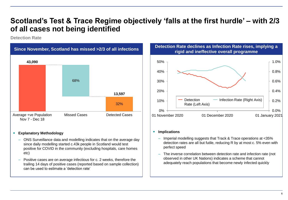### **Scotland's Test & Trace Regime objectively 'falls at the first hurdle' – with 2/3 of all cases not being identified**

**Detection Rate**



#### **Explanatory Methodology**

- ONS Surveillance data and modelling indicates that on the average day since daily modelling started c.43k people in Scotland would test positive for COVID in the community (excluding hospitals, care homes etc)
- Positive cases are on average infectious for c. 2 weeks, therefore the trailing 14 days of positive cases (reported based on sample collection) can be used to estimate a 'detection rate'





#### **•** Implications

- Imperial modelling suggests that Track & Trace operations at <35% detection rates are all but futile, reducing R by at most c. 5% even with perfect speed
- The inverse correlation between detection rate and infection rate (not observed in other UK Nations) indicates a scheme that cannot adequately reach populations that become newly infected quickly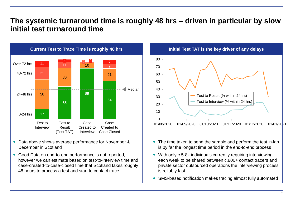### **The systemic turnaround time is roughly 48 hrs – driven in particular by slow initial test turnaround time**



- Data above shows average performance for November & December in Scotland
- Good Data on end-to-end performance is not reported, however we can estimate based on test-to-interview time and case-created-to-case-closed time that Scotland takes roughly 48 hours to process a test and start to contact trace



- The time taken to send the sample and perform the test in-lab is by far the longest time period in the end-to-end process
- With only c.5-8k individuals currently requiring interviewing each week to be shared between c.800+ contact tracers and private sector outsourced operations the interviewing process is reliably fast
- SMS-based notification makes tracing almost fully automated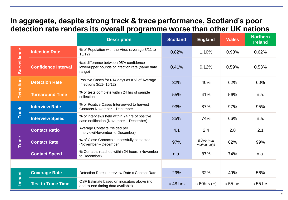### **In aggregate, despite strong track & trace performance, Scotland's poor detection rate renders its overall programme worse than other UK nations**

|                     |                            | <b>Description</b>                                                                                 | <b>Scotland</b> | <b>England</b>            | <b>Wales</b> | <b>Northern</b><br><b>Ireland</b> |
|---------------------|----------------------------|----------------------------------------------------------------------------------------------------|-----------------|---------------------------|--------------|-----------------------------------|
|                     | <b>Infection Rate</b>      | % of Population with the Virus (average 3/11 to<br>15/12)                                          | 0.82%           | 1.10%                     | 0.98%        | 0.62%                             |
| <b>Surveillance</b> | <b>Confidence Interval</b> | %pt difference between 95% confidence<br>lower/upper bounds of infection rate (same date<br>range) | 0.41%           | 0.12%                     | 0.59%        | 0.53%                             |
| Detection           | <b>Detection Rate</b>      | Positive Cases for t-14 days as a % of Average<br>Infections 3/11-15/12)                           | 32%             | 40%                       | 62%          | 60%                               |
|                     | <b>Turnaround Time</b>     | % of tests complete within 24 hrs of sample<br>collection                                          | 55%             | 41%                       | 56%          | n.a.                              |
| <b>Track</b>        | <b>Interview Rate</b>      | % of Positive Cases Interviewed to harvest<br>Contacts November - December                         | 93%             | 87%                       | 97%          | 95%                               |
|                     | <b>Interview Speed</b>     | % of interviews held within 24 hrs of positive<br>case notification (November - December)          | 85%             | 74%                       | 66%          | n.a.                              |
|                     | <b>Contact Ratio</b>       | Average Contacts Yielded per<br>Interview(November to December)                                    | 4.1             | 2.4                       | 2.8          | 2.1                               |
| <b>Trace</b>        | <b>Contact Rate</b>        | % of Close Contacts successfully contacted<br>(November - December                                 | 97%             | 93% (new<br>method. only) | 82%          | 99%                               |
|                     | <b>Contact Speed</b>       | % Contacts reached within 24 hours (November<br>to December)                                       | n.a.            | 87%                       | 74%          | n.a.                              |
|                     |                            |                                                                                                    |                 |                           |              |                                   |
|                     | <b>Coverage Rate</b>       | Detection Rate x Interview Rate x Contact Rate                                                     | 29%             | 32%                       | 49%          | 56%                               |
| <b>Impact</b>       | <b>Test to Trace Time</b>  | OSF Estimate based on indicators above (no<br>end-to-end timing data available)                    | $c.48$ hrs      | c.60hrs $(+)$             | $c.55$ hrs   | $c.55$ hrs                        |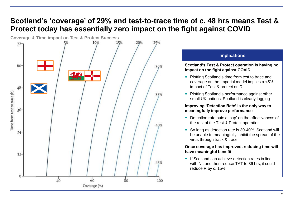## **Scotland's 'coverage' of 29% and test-to-trace time of c. 48 hrs means Test & Protect today has essentially zero impact on the fight against COVID**



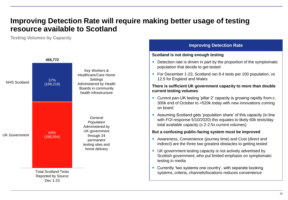### **Improving Detection Rate will require making better usage of testing resource available to Scotland**

**Testing Volumes by Capacity**



#### **Improving Detection Rate**

#### **Scotland is not doing enough testing**

- Detection rate is driven in part by the proportion of the symptomatic population that decide to get tested
- For December 1-23, Scotland ran 8.4 tests per 100 population, vs 12.5 for England and Wales

#### **There is sufficient UK government capacity to more than double current testing volumes**

- Current pan-UK testing 'pillar 2' capacity is growing rapidly from c. 300k end of October to >520k today with new innovations coming on board
- Assuming Scotland gets 'population share' of this capacity (in line with FOI response 5/10/2020) this equates to likely 60k tests/day total available capacity (c.2-2.5x current volumes)

#### **But a confusing public-facing system must be improved**

- Awareness, Convenience (journey time) and Cost (direct and indirect) are the three two greatest obstacles to getting tested
- UK government testing capacity is not actively advertised by Scottish government, who put limited emphasis on symptomatic testing in media
- Currently 'two systems one country', with separate booking systems, criteria, channels/locations reduces convenience